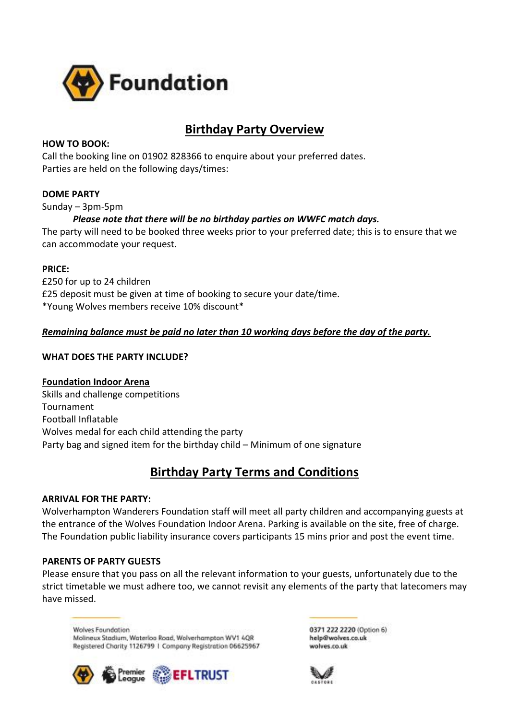

# **Birthday Party Overview**

### **HOW TO BOOK:**

Call the booking line on 01902 828366 to enquire about your preferred dates. Parties are held on the following days/times:

## **DOME PARTY**

Sunday – 3pm-5pm

## *Please note that there will be no birthday parties on WWFC match days.*

The party will need to be booked three weeks prior to your preferred date; this is to ensure that we can accommodate your request.

### **PRICE:**

£250 for up to 24 children £25 deposit must be given at time of booking to secure your date/time. \*Young Wolves members receive 10% discount\*

## *Remaining balance must be paid no later than 10 working days before the day of the party.*

### **WHAT DOES THE PARTY INCLUDE?**

## **Foundation Indoor Arena**

Skills and challenge competitions Tournament Football Inflatable Wolves medal for each child attending the party Party bag and signed item for the birthday child – Minimum of one signature

## **Birthday Party Terms and Conditions**

## **ARRIVAL FOR THE PARTY:**

Wolverhampton Wanderers Foundation staff will meet all party children and accompanying guests at the entrance of the Wolves Foundation Indoor Arena. Parking is available on the site, free of charge. The Foundation public liability insurance covers participants 15 mins prior and post the event time.

## **PARENTS OF PARTY GUESTS**

Please ensure that you pass on all the relevant information to your guests, unfortunately due to the strict timetable we must adhere too, we cannot revisit any elements of the party that latecomers may have missed.

**Wolves Foundation** Molineux Stadium, Waterloo Road, Wolverhampton WV1 4QR Registered Charity 1126799 | Company Registration 06625967



0371 222 2220 (Option 6) help@wolves.co.uk wolves.co.uk